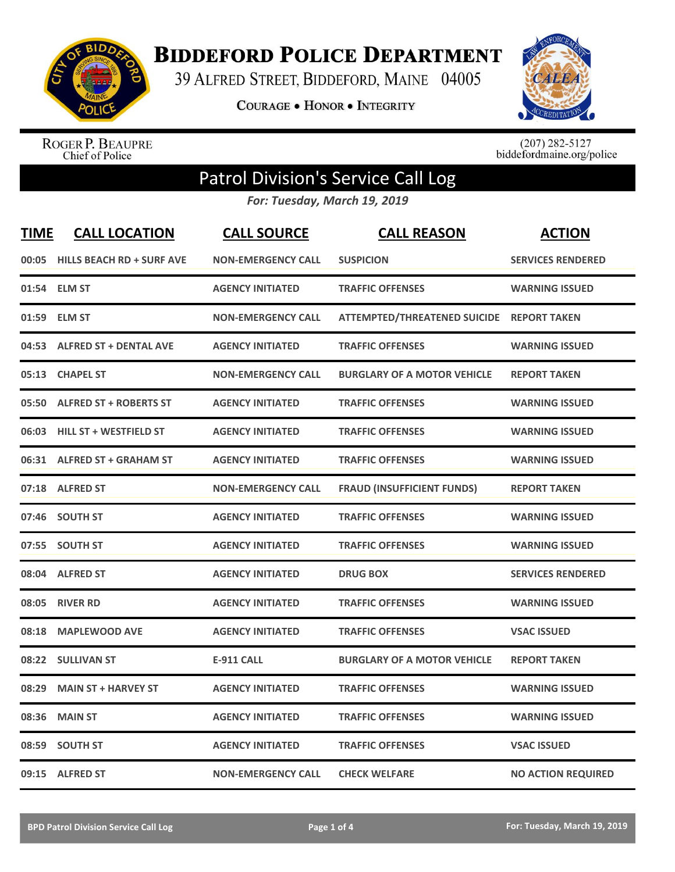

**BIDDEFORD POLICE DEPARTMENT** 

39 ALFRED STREET, BIDDEFORD, MAINE 04005

**COURAGE . HONOR . INTEGRITY** 



ROGER P. BEAUPRE<br>Chief of Police

 $(207)$  282-5127<br>biddefordmaine.org/police

## Patrol Division's Service Call Log

*For: Tuesday, March 19, 2019*

| <b>TIME</b> | <b>CALL LOCATION</b>            | <b>CALL SOURCE</b>        | <b>CALL REASON</b>                        | <b>ACTION</b>             |
|-------------|---------------------------------|---------------------------|-------------------------------------------|---------------------------|
|             | 00:05 HILLS BEACH RD + SURF AVE | <b>NON-EMERGENCY CALL</b> | <b>SUSPICION</b>                          | <b>SERVICES RENDERED</b>  |
|             | 01:54 ELM ST                    | <b>AGENCY INITIATED</b>   | <b>TRAFFIC OFFENSES</b>                   | <b>WARNING ISSUED</b>     |
|             | 01:59 ELM ST                    | <b>NON-EMERGENCY CALL</b> | ATTEMPTED/THREATENED SUICIDE REPORT TAKEN |                           |
| 04:53       | <b>ALFRED ST + DENTAL AVE</b>   | <b>AGENCY INITIATED</b>   | <b>TRAFFIC OFFENSES</b>                   | <b>WARNING ISSUED</b>     |
| 05:13       | <b>CHAPEL ST</b>                | <b>NON-EMERGENCY CALL</b> | <b>BURGLARY OF A MOTOR VEHICLE</b>        | <b>REPORT TAKEN</b>       |
|             | 05:50 ALFRED ST + ROBERTS ST    | <b>AGENCY INITIATED</b>   | <b>TRAFFIC OFFENSES</b>                   | <b>WARNING ISSUED</b>     |
|             | 06:03 HILL ST + WESTFIELD ST    | <b>AGENCY INITIATED</b>   | <b>TRAFFIC OFFENSES</b>                   | <b>WARNING ISSUED</b>     |
|             | 06:31 ALFRED ST + GRAHAM ST     | <b>AGENCY INITIATED</b>   | <b>TRAFFIC OFFENSES</b>                   | <b>WARNING ISSUED</b>     |
|             | 07:18 ALFRED ST                 | <b>NON-EMERGENCY CALL</b> | <b>FRAUD (INSUFFICIENT FUNDS)</b>         | <b>REPORT TAKEN</b>       |
|             | 07:46 SOUTH ST                  | <b>AGENCY INITIATED</b>   | <b>TRAFFIC OFFENSES</b>                   | <b>WARNING ISSUED</b>     |
|             | 07:55 SOUTH ST                  | <b>AGENCY INITIATED</b>   | <b>TRAFFIC OFFENSES</b>                   | <b>WARNING ISSUED</b>     |
|             | 08:04 ALFRED ST                 | <b>AGENCY INITIATED</b>   | <b>DRUG BOX</b>                           | <b>SERVICES RENDERED</b>  |
| 08:05       | <b>RIVER RD</b>                 | <b>AGENCY INITIATED</b>   | <b>TRAFFIC OFFENSES</b>                   | <b>WARNING ISSUED</b>     |
| 08:18       | <b>MAPLEWOOD AVE</b>            | <b>AGENCY INITIATED</b>   | <b>TRAFFIC OFFENSES</b>                   | <b>VSAC ISSUED</b>        |
|             | 08:22 SULLIVAN ST               | <b>E-911 CALL</b>         | <b>BURGLARY OF A MOTOR VEHICLE</b>        | <b>REPORT TAKEN</b>       |
| 08:29       | <b>MAIN ST + HARVEY ST</b>      | <b>AGENCY INITIATED</b>   | <b>TRAFFIC OFFENSES</b>                   | <b>WARNING ISSUED</b>     |
| 08:36       | <b>MAIN ST</b>                  | <b>AGENCY INITIATED</b>   | <b>TRAFFIC OFFENSES</b>                   | <b>WARNING ISSUED</b>     |
| 08:59       | <b>SOUTH ST</b>                 | <b>AGENCY INITIATED</b>   | <b>TRAFFIC OFFENSES</b>                   | <b>VSAC ISSUED</b>        |
|             | 09:15 ALFRED ST                 | <b>NON-EMERGENCY CALL</b> | <b>CHECK WELFARE</b>                      | <b>NO ACTION REQUIRED</b> |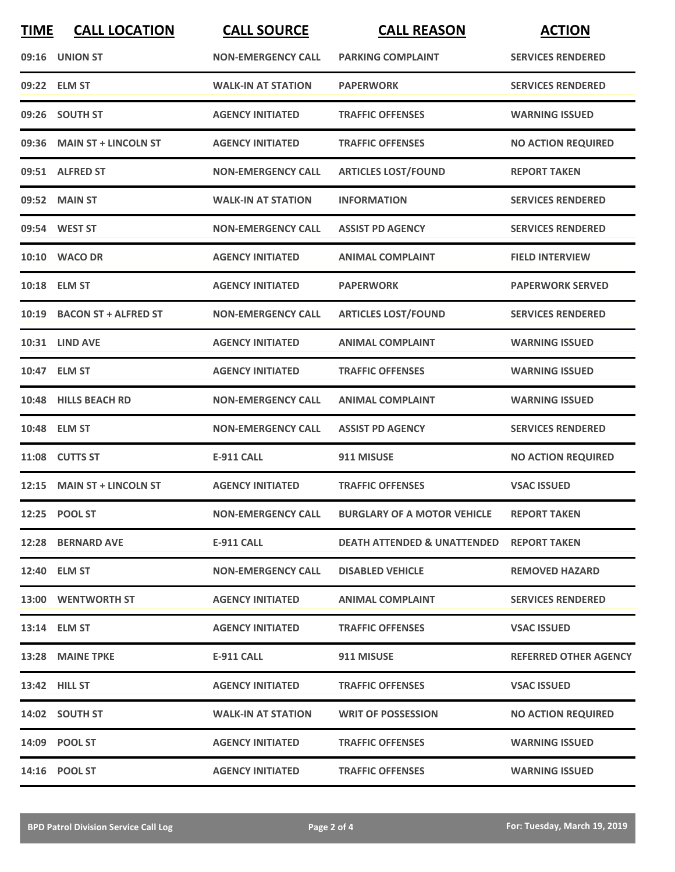| <b>TIME</b> | <b>CALL LOCATION</b>       | <b>CALL SOURCE</b>        | <b>CALL REASON</b>                     | <b>ACTION</b>                |
|-------------|----------------------------|---------------------------|----------------------------------------|------------------------------|
|             | 09:16 UNION ST             | <b>NON-EMERGENCY CALL</b> | <b>PARKING COMPLAINT</b>               | <b>SERVICES RENDERED</b>     |
|             | 09:22 ELM ST               | <b>WALK-IN AT STATION</b> | <b>PAPERWORK</b>                       | <b>SERVICES RENDERED</b>     |
|             | 09:26 SOUTH ST             | <b>AGENCY INITIATED</b>   | <b>TRAFFIC OFFENSES</b>                | <b>WARNING ISSUED</b>        |
|             | 09:36 MAIN ST + LINCOLN ST | <b>AGENCY INITIATED</b>   | <b>TRAFFIC OFFENSES</b>                | <b>NO ACTION REQUIRED</b>    |
|             | 09:51 ALFRED ST            | <b>NON-EMERGENCY CALL</b> | <b>ARTICLES LOST/FOUND</b>             | <b>REPORT TAKEN</b>          |
|             | 09:52 MAIN ST              | <b>WALK-IN AT STATION</b> | <b>INFORMATION</b>                     | <b>SERVICES RENDERED</b>     |
|             | 09:54 WEST ST              | <b>NON-EMERGENCY CALL</b> | <b>ASSIST PD AGENCY</b>                | <b>SERVICES RENDERED</b>     |
|             | 10:10 WACO DR              | <b>AGENCY INITIATED</b>   | <b>ANIMAL COMPLAINT</b>                | <b>FIELD INTERVIEW</b>       |
|             | 10:18 ELM ST               | <b>AGENCY INITIATED</b>   | <b>PAPERWORK</b>                       | <b>PAPERWORK SERVED</b>      |
|             | 10:19 BACON ST + ALFRED ST | <b>NON-EMERGENCY CALL</b> | <b>ARTICLES LOST/FOUND</b>             | <b>SERVICES RENDERED</b>     |
|             | <b>10:31 LIND AVE</b>      | <b>AGENCY INITIATED</b>   | <b>ANIMAL COMPLAINT</b>                | <b>WARNING ISSUED</b>        |
|             | 10:47 ELM ST               | <b>AGENCY INITIATED</b>   | <b>TRAFFIC OFFENSES</b>                | <b>WARNING ISSUED</b>        |
|             | 10:48 HILLS BEACH RD       | <b>NON-EMERGENCY CALL</b> | <b>ANIMAL COMPLAINT</b>                | <b>WARNING ISSUED</b>        |
|             | 10:48 ELM ST               | <b>NON-EMERGENCY CALL</b> | <b>ASSIST PD AGENCY</b>                | <b>SERVICES RENDERED</b>     |
|             | 11:08 CUTTS ST             | <b>E-911 CALL</b>         | 911 MISUSE                             | <b>NO ACTION REQUIRED</b>    |
|             | 12:15 MAIN ST + LINCOLN ST | <b>AGENCY INITIATED</b>   | <b>TRAFFIC OFFENSES</b>                | <b>VSAC ISSUED</b>           |
|             | 12:25 POOL ST              | <b>NON-EMERGENCY CALL</b> | <b>BURGLARY OF A MOTOR VEHICLE</b>     | <b>REPORT TAKEN</b>          |
|             | 12:28 BERNARD AVE          | <b>E-911 CALL</b>         | <b>DEATH ATTENDED &amp; UNATTENDED</b> | <b>REPORT TAKEN</b>          |
|             | 12:40 ELM ST               | <b>NON-EMERGENCY CALL</b> | <b>DISABLED VEHICLE</b>                | <b>REMOVED HAZARD</b>        |
|             | 13:00 WENTWORTH ST         | <b>AGENCY INITIATED</b>   | <b>ANIMAL COMPLAINT</b>                | <b>SERVICES RENDERED</b>     |
|             | 13:14 ELM ST               | <b>AGENCY INITIATED</b>   | <b>TRAFFIC OFFENSES</b>                | <b>VSAC ISSUED</b>           |
|             | 13:28 MAINE TPKE           | E-911 CALL                | 911 MISUSE                             | <b>REFERRED OTHER AGENCY</b> |
|             | 13:42 HILL ST              | <b>AGENCY INITIATED</b>   | <b>TRAFFIC OFFENSES</b>                | <b>VSAC ISSUED</b>           |
|             | 14:02 SOUTH ST             | <b>WALK-IN AT STATION</b> | <b>WRIT OF POSSESSION</b>              | <b>NO ACTION REQUIRED</b>    |
|             | 14:09 POOL ST              | <b>AGENCY INITIATED</b>   | <b>TRAFFIC OFFENSES</b>                | <b>WARNING ISSUED</b>        |
|             | 14:16 POOL ST              | <b>AGENCY INITIATED</b>   | <b>TRAFFIC OFFENSES</b>                | <b>WARNING ISSUED</b>        |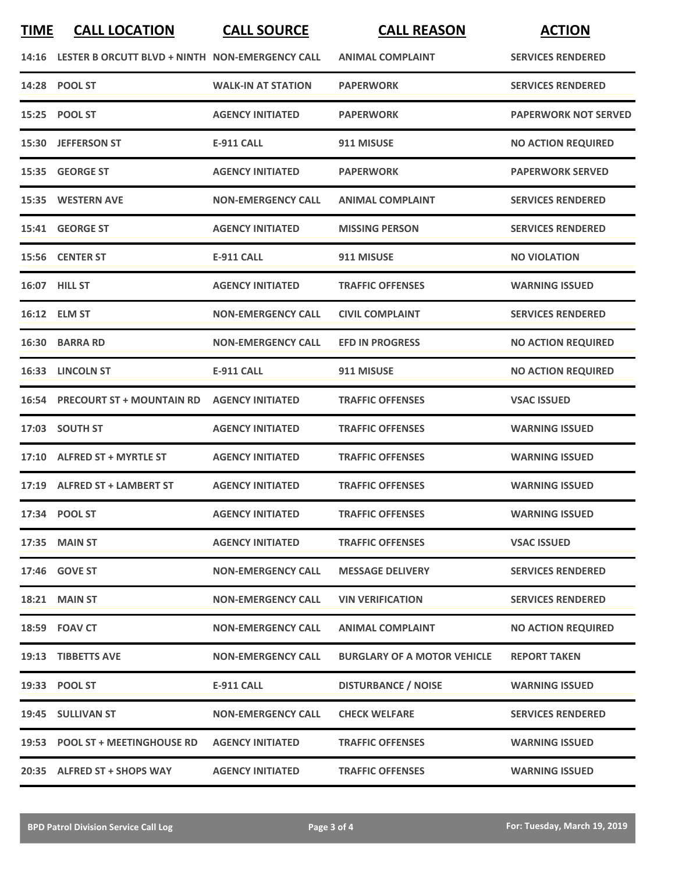|       | 14:16 LESTER B ORCUTT BLVD + NINTH NON-EMERGENCY CALL |                           | <b>ANIMAL COMPLAINT</b>            | <b>SERVICES RENDERED</b>    |
|-------|-------------------------------------------------------|---------------------------|------------------------------------|-----------------------------|
|       | 14:28 POOL ST                                         | <b>WALK-IN AT STATION</b> | <b>PAPERWORK</b>                   | <b>SERVICES RENDERED</b>    |
| 15:25 | <b>POOL ST</b>                                        | <b>AGENCY INITIATED</b>   | <b>PAPERWORK</b>                   | <b>PAPERWORK NOT SERVED</b> |
|       | 15:30 JEFFERSON ST                                    | <b>E-911 CALL</b>         | 911 MISUSE                         | <b>NO ACTION REQUIRED</b>   |
|       | 15:35 GEORGE ST                                       | <b>AGENCY INITIATED</b>   | <b>PAPERWORK</b>                   | <b>PAPERWORK SERVED</b>     |
|       | 15:35 WESTERN AVE                                     | <b>NON-EMERGENCY CALL</b> | <b>ANIMAL COMPLAINT</b>            | <b>SERVICES RENDERED</b>    |
|       | 15:41 GEORGE ST                                       | <b>AGENCY INITIATED</b>   | <b>MISSING PERSON</b>              | <b>SERVICES RENDERED</b>    |
|       | 15:56 CENTER ST                                       | <b>E-911 CALL</b>         | 911 MISUSE                         | <b>NO VIOLATION</b>         |
| 16:07 | <b>HILL ST</b>                                        | <b>AGENCY INITIATED</b>   | <b>TRAFFIC OFFENSES</b>            | <b>WARNING ISSUED</b>       |
|       | 16:12 ELM ST                                          | <b>NON-EMERGENCY CALL</b> | <b>CIVIL COMPLAINT</b>             | <b>SERVICES RENDERED</b>    |
|       | 16:30 BARRA RD                                        | <b>NON-EMERGENCY CALL</b> | <b>EFD IN PROGRESS</b>             | <b>NO ACTION REQUIRED</b>   |
| 16:33 | <b>LINCOLN ST</b>                                     | E-911 CALL                | 911 MISUSE                         | <b>NO ACTION REQUIRED</b>   |
| 16:54 | <b>PRECOURT ST + MOUNTAIN RD</b>                      | <b>AGENCY INITIATED</b>   | <b>TRAFFIC OFFENSES</b>            | <b>VSAC ISSUED</b>          |
|       | 17:03 SOUTH ST                                        | <b>AGENCY INITIATED</b>   | <b>TRAFFIC OFFENSES</b>            | <b>WARNING ISSUED</b>       |
| 17:10 | <b>ALFRED ST + MYRTLE ST</b>                          | <b>AGENCY INITIATED</b>   | <b>TRAFFIC OFFENSES</b>            | <b>WARNING ISSUED</b>       |
|       | 17:19 ALFRED ST + LAMBERT ST                          | <b>AGENCY INITIATED</b>   | <b>TRAFFIC OFFENSES</b>            | <b>WARNING ISSUED</b>       |
|       | 17:34 POOL ST                                         | <b>AGENCY INITIATED</b>   | <b>TRAFFIC OFFENSES</b>            | <b>WARNING ISSUED</b>       |
|       | 17:35 MAIN ST                                         | <b>AGENCY INITIATED</b>   | <b>TRAFFIC OFFENSES</b>            | <b>VSAC ISSUED</b>          |
|       | 17:46 GOVE ST                                         | <b>NON-EMERGENCY CALL</b> | <b>MESSAGE DELIVERY</b>            | <b>SERVICES RENDERED</b>    |
|       | 18:21 MAIN ST                                         | <b>NON-EMERGENCY CALL</b> | <b>VIN VERIFICATION</b>            | <b>SERVICES RENDERED</b>    |
|       | 18:59 FOAV CT                                         | <b>NON-EMERGENCY CALL</b> | <b>ANIMAL COMPLAINT</b>            | <b>NO ACTION REQUIRED</b>   |
|       | 19:13 TIBBETTS AVE                                    | <b>NON-EMERGENCY CALL</b> | <b>BURGLARY OF A MOTOR VEHICLE</b> | <b>REPORT TAKEN</b>         |
|       | 19:33 POOL ST                                         | <b>E-911 CALL</b>         | <b>DISTURBANCE / NOISE</b>         | <b>WARNING ISSUED</b>       |
|       | 19:45 SULLIVAN ST                                     | <b>NON-EMERGENCY CALL</b> | <b>CHECK WELFARE</b>               | <b>SERVICES RENDERED</b>    |
|       | 19:53 POOL ST + MEETINGHOUSE RD                       | <b>AGENCY INITIATED</b>   | <b>TRAFFIC OFFENSES</b>            | <b>WARNING ISSUED</b>       |
|       | 20:35 ALFRED ST + SHOPS WAY                           | <b>AGENCY INITIATED</b>   | <b>TRAFFIC OFFENSES</b>            | <b>WARNING ISSUED</b>       |